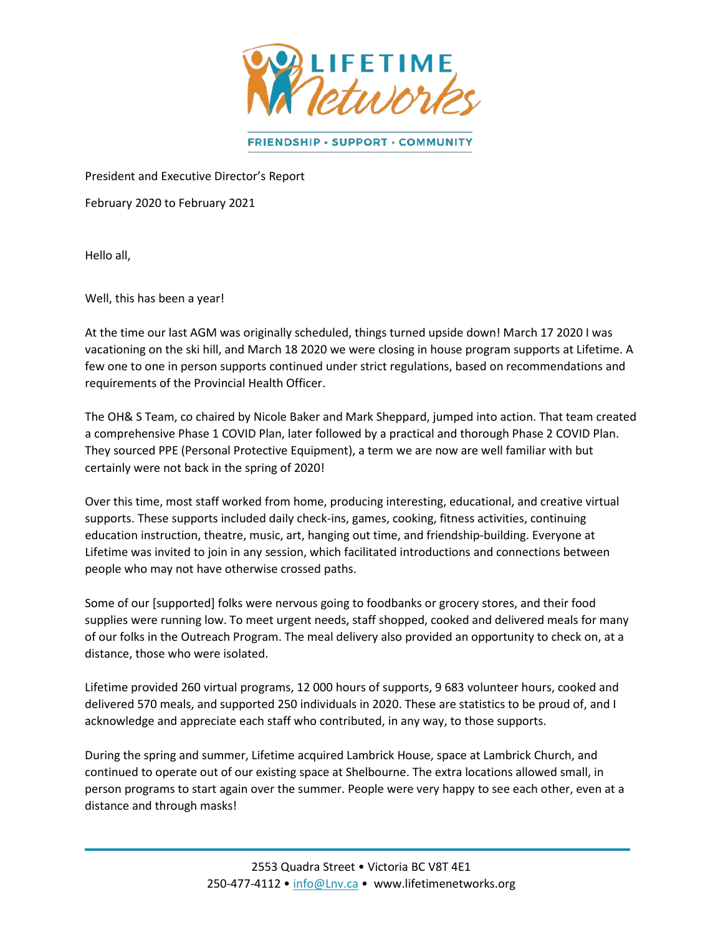

FRIENDSHIP · SUPPORT · COMMUNITY

President and Executive Director's Report

February 2020 to February 2021

Hello all,

Well, this has been a year!

At the time our last AGM was originally scheduled, things turned upside down! March 17 2020 I was vacationing on the ski hill, and March 18 2020 we were closing in house program supports at Lifetime. A few one to one in person supports continued under strict regulations, based on recommendations and requirements of the Provincial Health Officer.

The OH& S Team, co chaired by Nicole Baker and Mark Sheppard, jumped into action. That team created a comprehensive Phase 1 COVID Plan, later followed by a practical and thorough Phase 2 COVID Plan. They sourced PPE (Personal Protective Equipment), a term we are now are well familiar with but certainly were not back in the spring of 2020!

Over this time, most staff worked from home, producing interesting, educational, and creative virtual supports. These supports included daily check-ins, games, cooking, fitness activities, continuing education instruction, theatre, music, art, hanging out time, and friendship-building. Everyone at Lifetime was invited to join in any session, which facilitated introductions and connections between people who may not have otherwise crossed paths.

Some of our [supported] folks were nervous going to foodbanks or grocery stores, and their food supplies were running low. To meet urgent needs, staff shopped, cooked and delivered meals for many of our folks in the Outreach Program. The meal delivery also provided an opportunity to check on, at a distance, those who were isolated.

Lifetime provided 260 virtual programs, 12 000 hours of supports, 9 683 volunteer hours, cooked and delivered 570 meals, and supported 250 individuals in 2020. These are statistics to be proud of, and I acknowledge and appreciate each staff who contributed, in any way, to those supports.

During the spring and summer, Lifetime acquired Lambrick House, space at Lambrick Church, and continued to operate out of our existing space at Shelbourne. The extra locations allowed small, in person programs to start again over the summer. People were very happy to see each other, even at a distance and through masks!